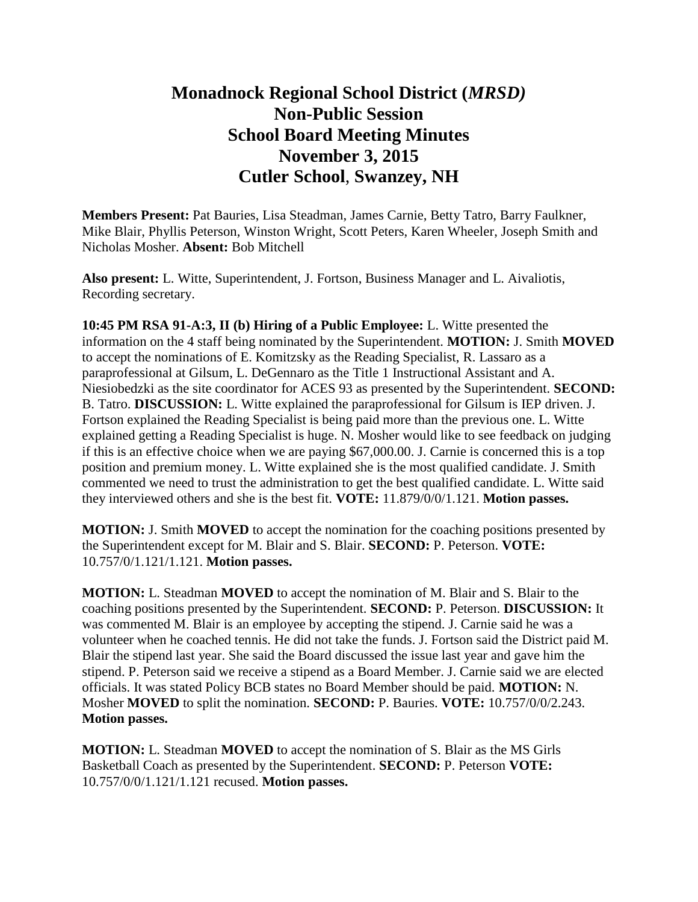## **Monadnock Regional School District (***MRSD)* **Non-Public Session School Board Meeting Minutes November 3, 2015 Cutler School**, **Swanzey, NH**

**Members Present:** Pat Bauries, Lisa Steadman, James Carnie, Betty Tatro, Barry Faulkner, Mike Blair, Phyllis Peterson, Winston Wright, Scott Peters, Karen Wheeler, Joseph Smith and Nicholas Mosher. **Absent:** Bob Mitchell

**Also present:** L. Witte, Superintendent, J. Fortson, Business Manager and L. Aivaliotis, Recording secretary.

**10:45 PM RSA 91-A:3, II (b) Hiring of a Public Employee:** L. Witte presented the information on the 4 staff being nominated by the Superintendent. **MOTION:** J. Smith **MOVED**  to accept the nominations of E. Komitzsky as the Reading Specialist, R. Lassaro as a paraprofessional at Gilsum, L. DeGennaro as the Title 1 Instructional Assistant and A. Niesiobedzki as the site coordinator for ACES 93 as presented by the Superintendent. **SECOND:**  B. Tatro. **DISCUSSION:** L. Witte explained the paraprofessional for Gilsum is IEP driven. J. Fortson explained the Reading Specialist is being paid more than the previous one. L. Witte explained getting a Reading Specialist is huge. N. Mosher would like to see feedback on judging if this is an effective choice when we are paying \$67,000.00. J. Carnie is concerned this is a top position and premium money. L. Witte explained she is the most qualified candidate. J. Smith commented we need to trust the administration to get the best qualified candidate. L. Witte said they interviewed others and she is the best fit. **VOTE:** 11.879/0/0/1.121. **Motion passes.**

**MOTION:** J. Smith **MOVED** to accept the nomination for the coaching positions presented by the Superintendent except for M. Blair and S. Blair. **SECOND:** P. Peterson. **VOTE:**  10.757/0/1.121/1.121. **Motion passes.** 

**MOTION:** L. Steadman **MOVED** to accept the nomination of M. Blair and S. Blair to the coaching positions presented by the Superintendent. **SECOND:** P. Peterson. **DISCUSSION:** It was commented M. Blair is an employee by accepting the stipend. J. Carnie said he was a volunteer when he coached tennis. He did not take the funds. J. Fortson said the District paid M. Blair the stipend last year. She said the Board discussed the issue last year and gave him the stipend. P. Peterson said we receive a stipend as a Board Member. J. Carnie said we are elected officials. It was stated Policy BCB states no Board Member should be paid. **MOTION:** N. Mosher **MOVED** to split the nomination. **SECOND:** P. Bauries. **VOTE:** 10.757/0/0/2.243. **Motion passes.** 

**MOTION:** L. Steadman **MOVED** to accept the nomination of S. Blair as the MS Girls Basketball Coach as presented by the Superintendent. **SECOND:** P. Peterson **VOTE:**  10.757/0/0/1.121/1.121 recused. **Motion passes.**